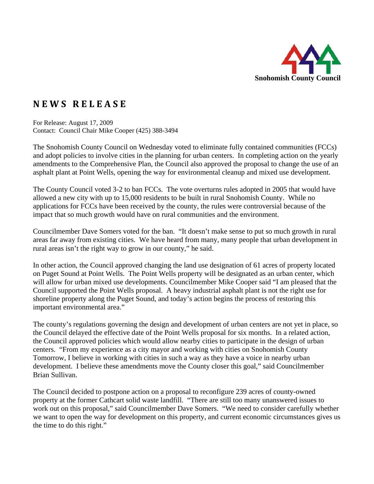

## **N E W S R E L E A S E**

For Release: August 17, 2009 Contact: Council Chair Mike Cooper (425) 388-3494

The Snohomish County Council on Wednesday voted to eliminate fully contained communities (FCCs) and adopt policies to involve cities in the planning for urban centers. In completing action on the yearly amendments to the Comprehensive Plan, the Council also approved the proposal to change the use of an asphalt plant at Point Wells, opening the way for environmental cleanup and mixed use development.

The County Council voted 3-2 to ban FCCs. The vote overturns rules adopted in 2005 that would have allowed a new city with up to 15,000 residents to be built in rural Snohomish County. While no applications for FCCs have been received by the county, the rules were controversial because of the impact that so much growth would have on rural communities and the environment.

Councilmember Dave Somers voted for the ban. "It doesn't make sense to put so much growth in rural areas far away from existing cities. We have heard from many, many people that urban development in rural areas isn't the right way to grow in our county," he said.

In other action, the Council approved changing the land use designation of 61 acres of property located on Puget Sound at Point Wells. The Point Wells property will be designated as an urban center, which will allow for urban mixed use developments. Councilmember Mike Cooper said "I am pleased that the Council supported the Point Wells proposal. A heavy industrial asphalt plant is not the right use for shoreline property along the Puget Sound, and today's action begins the process of restoring this important environmental area."

The county's regulations governing the design and development of urban centers are not yet in place, so the Council delayed the effective date of the Point Wells proposal for six months. In a related action, the Council approved policies which would allow nearby cities to participate in the design of urban centers. "From my experience as a city mayor and working with cities on Snohomish County Tomorrow, I believe in working with cities in such a way as they have a voice in nearby urban development. I believe these amendments move the County closer this goal," said Councilmember Brian Sullivan.

The Council decided to postpone action on a proposal to reconfigure 239 acres of county-owned property at the former Cathcart solid waste landfill. "There are still too many unanswered issues to work out on this proposal," said Councilmember Dave Somers. "We need to consider carefully whether we want to open the way for development on this property, and current economic circumstances gives us the time to do this right."